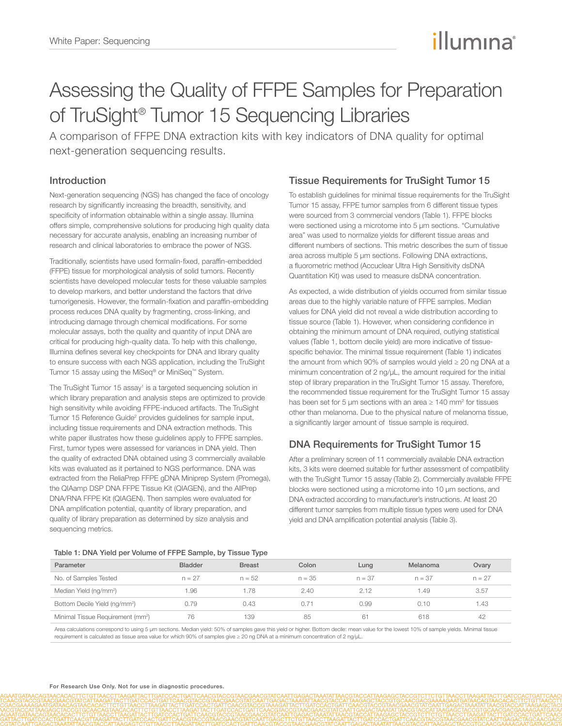# illumına

## Assessing the Quality of FFPE Samples for Preparation of TruSight® Tumor 15 Sequencing Libraries

A comparison of FFPE DNA extraction kits with key indicators of DNA quality for optimal next-generation sequencing results.

## Introduction

Next-generation sequencing (NGS) has changed the face of oncology research by significantly increasing the breadth, sensitivity, and specificity of information obtainable within a single assay. Illumina offers simple, comprehensive solutions for producing high quality data necessary for accurate analysis, enabling an increasing number of research and clinical laboratories to embrace the power of NGS.

Traditionally, scientists have used formalin-fixed, paraffin-embedded (FFPE) tissue for morphological analysis of solid tumors. Recently scientists have developed molecular tests for these valuable samples to develop markers, and better understand the factors that drive tumorigenesis. However, the formalin-fixation and paraffin-embedding process reduces DNA quality by fragmenting, cross-linking, and introducing damage through chemical modifications. For some molecular assays, both the quality and quantity of input DNA are critical for producing high-quality data. To help with this challenge, Illumina defines several key checkpoints for DNA and library quality to ensure success with each NGS application, including the TruSight Tumor 15 assay using the MiSeq® or MiniSeq™ System.

The TruSight Tumor 15 assay<sup>1</sup> is a targeted sequencing solution in which library preparation and analysis steps are optimized to provide high sensitivity while avoiding FFPE-induced artifacts. The TruSight Tumor 15 Reference Guide<sup>2</sup> provides guidelines for sample input, including tissue requirements and DNA extraction methods. This white paper illustrates how these guidelines apply to FFPE samples. First, tumor types were assessed for variances in DNA yield. Then the quality of extracted DNA obtained using 3 commercially available kits was evaluated as it pertained to NGS performance. DNA was extracted from the ReliaPrep FFPE gDNA Miniprep System (Promega), the QIAamp DSP DNA FFPE Tissue Kit (QIAGEN), and the AllPrep DNA/RNA FFPE Kit (QIAGEN). Then samples were evaluated for DNA amplification potential, quantity of library preparation, and quality of library preparation as determined by size analysis and sequencing metrics.

## Tissue Requirements for TruSight Tumor 15

To establish guidelines for minimal tissue requirements for the TruSight Tumor 15 assay, FFPE tumor samples from 6 different tissue types were sourced from 3 commercial vendors (Table 1). FFPE blocks were sectioned using a microtome into 5 µm sections. "Cumulative area" was used to normalize yields for different tissue areas and different numbers of sections. This metric describes the sum of tissue area across multiple 5 µm sections. Following DNA extractions, a fluorometric method (Accuclear Ultra High Sensitivity dsDNA Quantitation Kit) was used to measure dsDNA concentration.

As expected, a wide distribution of yields occurred from similar tissue areas due to the highly variable nature of FFPE samples. Median values for DNA yield did not reveal a wide distribution according to tissue source (Table 1). However, when considering confidence in obtaining the minimum amount of DNA required, outlying statistical values (Table 1, bottom decile yield) are more indicative of tissuespecific behavior. The minimal tissue requirement (Table 1) indicates the amount from which 90% of samples would yield ≥ 20 ng DNA at a minimum concentration of 2 ng/ $\mu$ L, the amount required for the initial step of library preparation in the TruSight Tumor 15 assay. Therefore, the recommended tissue requirement for the TruSight Tumor 15 assay has been set for 5  $\mu$ m sections with an area  $\geq 140$  mm<sup>2</sup> for tissues other than melanoma. Due to the physical nature of melanoma tissue, a significantly larger amount of tissue sample is required.

## DNA Requirements for TruSight Tumor 15

After a preliminary screen of 11 commercially available DNA extraction kits, 3 kits were deemed suitable for further assessment of compatibility with the TruSight Tumor 15 assay (Table 2). Commercially available FFPE blocks were sectioned using a microtome into 10 µm sections, and DNA extracted according to manufacturer's instructions. At least 20 different tumor samples from multiple tissue types were used for DNA yield and DNA amplification potential analysis (Table 3).

#### Table 1: DNA Yield per Volume of FFPE Sample, by Tissue Type

| Parameter                                     | <b>Bladder</b> | <b>Breast</b> | Colon    | Lung     | Melanoma | Ovary    |
|-----------------------------------------------|----------------|---------------|----------|----------|----------|----------|
| No. of Samples Tested                         | $n = 27$       | $n = 52$      | $n = 35$ | $n = 37$ | $n = 37$ | $n = 27$ |
| Median Yield (ng/mm <sup>2</sup> )            | .96            | .78           | 2.40     | 2.12     | 1.49     | 3.57     |
| Bottom Decile Yield (ng/mm <sup>2</sup> )     | 0.79           | 0.43          | 0.71     | 0.99     | 0.10     | 1.43     |
| Minimal Tissue Requirement (mm <sup>2</sup> ) | 76             | 139           | 85       | 61       | 618      | 42       |

Area calculations correspond to using 5 µm sections. Median yield: 50% of samples gave this yield or higher. Bottom decile: mean value for the lowest 10% of sample yields. Minimal tissue requirement is calculated as tissue area value for which 90% of samples give ≥ 20 ng DNA at a minimum concentration of 2 ng/µL.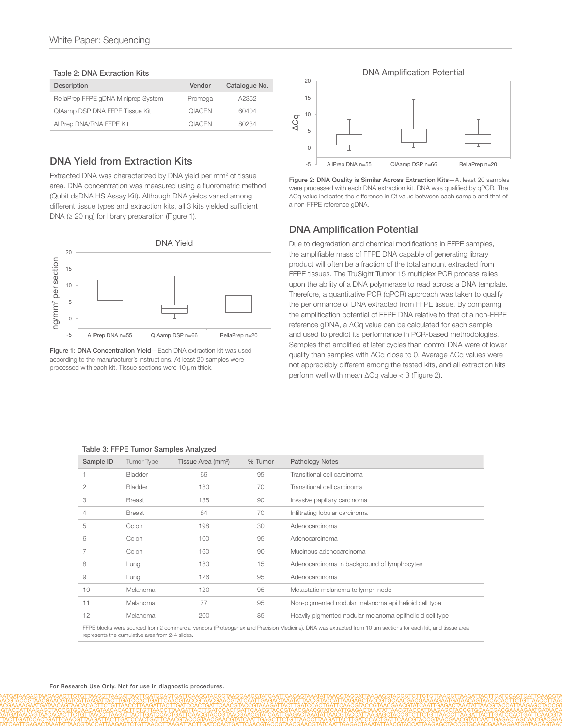#### Table 2: DNA Extraction Kits

| Description                         | Vendor               | Catalogue No. |
|-------------------------------------|----------------------|---------------|
| ReliaPrep FFPE gDNA Miniprep System | Promega              | A2352         |
| QIAamp DSP DNA FFPE Tissue Kit      | <b><i>OIAGEN</i></b> | 60404         |
| AllPrep DNA/RNA FFPE Kit            | <b><i>OIAGEN</i></b> | 80234         |

## DNA Yield from Extraction Kits

Extracted DNA was characterized by DNA yield per mm<sup>2</sup> of tissue area. DNA concentration was measured using a fluorometric method (Qubit dsDNA HS Assay Kit). Although DNA yields varied among different tissue types and extraction kits, all 3 kits yielded sufficient DNA ( $\geq$  20 ng) for library preparation (Figure 1).



Figure 1: DNA Concentration Yield—Each DNA extraction kit was used according to the manufacturer's instructions. At least 20 samples were processed with each kit. Tissue sections were 10 µm thick.



Figure 2: DNA Quality is Similar Across Extraction Kits—At least 20 samples were processed with each DNA extraction kit. DNA was qualified by qPCR. The ΔCq value indicates the difference in Ct value between each sample and that of a non-FFPE reference gDNA.

#### DNA Amplification Potential

Due to degradation and chemical modifications in FFPE samples, the amplifiable mass of FFPE DNA capable of generating library product will often be a fraction of the total amount extracted from FFPE tissues. The TruSight Tumor 15 multiplex PCR process relies upon the ability of a DNA polymerase to read across a DNA template. Therefore, a quantitative PCR (qPCR) approach was taken to qualify the performance of DNA extracted from FFPE tissue. By comparing the amplification potential of FFPE DNA relative to that of a non-FFPE reference gDNA, a ΔCq value can be calculated for each sample and used to predict its performance in PCR-based methodologies. Samples that amplified at later cycles than control DNA were of lower quality than samples with ΔCq close to 0. Average ΔCq values were not appreciably different among the tested kits, and all extraction kits perform well with mean ΔCq value < 3 (Figure 2).

#### Table 3: FFPE Tumor Samples Analyzed

| Sample ID      | Tumor Type     | Tissue Area (mm <sup>2</sup> ) | % Tumor | <b>Pathology Notes</b>                                                                                                                                       |
|----------------|----------------|--------------------------------|---------|--------------------------------------------------------------------------------------------------------------------------------------------------------------|
|                | <b>Bladder</b> | 66                             | 95      | Transitional cell carcinoma                                                                                                                                  |
| $\overline{2}$ | <b>Bladder</b> | 180                            | 70      | Transitional cell carcinoma                                                                                                                                  |
| 3              | <b>Breast</b>  | 135                            | 90      | Invasive papillary carcinoma                                                                                                                                 |
| 4              | <b>Breast</b>  | 84                             | 70      | Infiltrating lobular carcinoma                                                                                                                               |
| 5              | Colon          | 198                            | 30      | Adenocarcinoma                                                                                                                                               |
| 6              | Colon          | 100                            | 95      | Adenocarcinoma                                                                                                                                               |
| 7              | Colon          | 160                            | 90      | Mucinous adenocarcinoma                                                                                                                                      |
| 8              | Lung           | 180                            | 15      | Adenocarcinoma in background of lymphocytes                                                                                                                  |
| 9              | Lung           | 126                            | 95      | Adenocarcinoma                                                                                                                                               |
| 10             | Melanoma       | 120                            | 95      | Metastatic melanoma to lymph node                                                                                                                            |
| 11             | Melanoma       | 77                             | 95      | Non-pigmented nodular melanoma epithelioid cell type                                                                                                         |
| 12             | Melanoma       | 200                            | 85      | Heavily pigmented nodular melanoma epithelioid cell type                                                                                                     |
|                |                |                                |         | FFPE blocks were sourced from 2 commercial vendors (Proteogenex and Precision Medicine). DNA was extracted from 10 µm sections for each kit, and tissue area |

represents the cumulative area from 2-4 slides.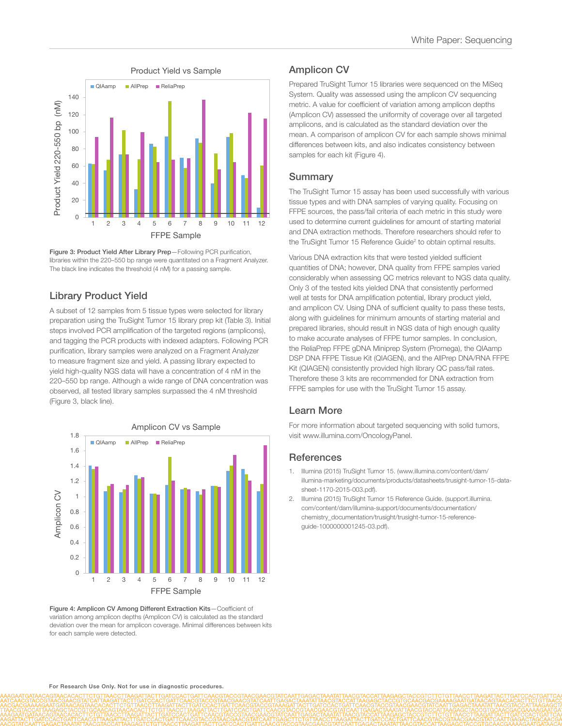

Figure 3: Product Yield After Library Prep—Following PCR purification, libraries within the 220–550 bp range were quantitated on a Fragment Analyzer. The black line indicates the threshold (4 nM) for a passing sample.

## Library Product Yield

A subset of 12 samples from 5 tissue types were selected for library preparation using the TruSight Tumor 15 library prep kit (Table 3). Initial steps involved PCR amplification of the targeted regions (amplicons), and tagging the PCR products with indexed adapters. Following PCR purification, library samples were analyzed on a Fragment Analyzer to measure fragment size and yield. A passing library expected to yield high-quality NGS data will have a concentration of 4 nM in the 220–550 bp range. Although a wide range of DNA concentration was observed, all tested library samples surpassed the 4 nM threshold (Figure 3, black line).



Figure 4: Amplicon CV Among Different Extraction Kits—Coefficient of variation among amplicon depths (Amplicon CV) is calculated as the standard deviation over the mean for amplicon coverage. Minimal differences between kits for each sample were detected.

## Amplicon CV

Prepared TruSight Tumor 15 libraries were sequenced on the MiSeq System. Quality was assessed using the amplicon CV sequencing metric. A value for coefficient of variation among amplicon depths (Amplicon CV) assessed the uniformity of coverage over all targeted amplicons, and is calculated as the standard deviation over the mean. A comparison of amplicon CV for each sample shows minimal differences between kits, and also indicates consistency between samples for each kit (Figure 4).

#### Summary

The TruSight Tumor 15 assay has been used successfully with various tissue types and with DNA samples of varying quality. Focusing on FFPE sources, the pass/fail criteria of each metric in this study were used to determine current guidelines for amount of starting material and DNA extraction methods. Therefore researchers should refer to the TruSight Tumor 15 Reference Guide<sup>2</sup> to obtain optimal results.

Various DNA extraction kits that were tested yielded sufficient quantities of DNA; however, DNA quality from FFPE samples varied considerably when assessing QC metrics relevant to NGS data quality. Only 3 of the tested kits yielded DNA that consistently performed well at tests for DNA amplification potential, library product yield, and amplicon CV. Using DNA of sufficient quality to pass these tests, along with guidelines for minimum amounts of starting material and prepared libraries, should result in NGS data of high enough quality to make accurate analyses of FFPE tumor samples. In conclusion, the ReliaPrep FFPE gDNA Miniprep System (Promega), the QIAamp DSP DNA FFPE Tissue Kit (QIAGEN), and the AllPrep DNA/RNA FFPE Kit (QIAGEN) consistently provided high library QC pass/fail rates. Therefore these 3 kits are recommended for DNA extraction from FFPE samples for use with the TruSight Tumor 15 assay.

#### Learn More

For more information about targeted sequencing with solid tumors, visit [www.illumina.com/OncologyPanel.](http://www.illumina.com/products/trusight-tumor-15-gene.html?scid=2015211PR1)

#### **References**

- 1. [Illumina \(2015\) TruSight Tumor 15. \(www.illumina.com/content/dam/](http://www.illumina.com/content/dam/illumina-marketing/documents/products/datasheets/trusight-tumor-15-data-sheet-1170-2015-003.pdf) [illumina-marketing/documents/products/datasheets/trusight-tumor-15-data](http://www.illumina.com/content/dam/illumina-marketing/documents/products/datasheets/trusight-tumor-15-data-sheet-1170-2015-003.pdf)[sheet-1170-2015-003.pdf\).](http://www.illumina.com/content/dam/illumina-marketing/documents/products/datasheets/trusight-tumor-15-data-sheet-1170-2015-003.pdf)
- 2. [Illumina \(2015\) TruSight Tumor 15 Reference Guide. \(support.illumina.](https://support.illumina.com/content/dam/illumina-support/documents/documentation/chemistry_documentation/trusight/trusight-tumor-15-reference-guide-1000000001245-03.pdf) [com/content/dam/illumina-support/documents/documentation/](https://support.illumina.com/content/dam/illumina-support/documents/documentation/chemistry_documentation/trusight/trusight-tumor-15-reference-guide-1000000001245-03.pdf) [chemistry\\_documentation/trusight/trusight-tumor-15-reference](https://support.illumina.com/content/dam/illumina-support/documents/documentation/chemistry_documentation/trusight/trusight-tumor-15-reference-guide-1000000001245-03.pdf)[guide-1000000001245-03.pdf\).](https://support.illumina.com/content/dam/illumina-support/documents/documentation/chemistry_documentation/trusight/trusight-tumor-15-reference-guide-1000000001245-03.pdf)